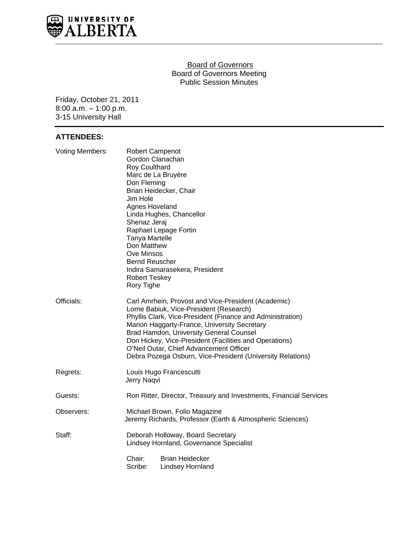

#### Board of Governors Board of Governors Meeting Public Session Minutes

Friday, October 21, 2011 8:00 a.m. – 1:00 p.m. 3-15 University Hall

# **ATTENDEES:**

| <b>Voting Members:</b> | <b>Robert Campenot</b><br>Gordon Clanachan<br>Roy Coulthard<br>Marc de La Bruyère<br>Don Fleming<br>Brian Heidecker, Chair<br>Jim Hole<br>Agnes Hoveland<br>Linda Hughes, Chancellor<br>Shenaz Jeraj<br>Raphael Lepage Fortin<br>Tanya Martelle<br>Don Matthew<br><b>Ove Minsos</b><br><b>Bernd Reuscher</b><br>Indira Samarasekera, President<br><b>Robert Teskey</b><br>Rory Tighe                                       |
|------------------------|----------------------------------------------------------------------------------------------------------------------------------------------------------------------------------------------------------------------------------------------------------------------------------------------------------------------------------------------------------------------------------------------------------------------------|
| Officials:             | Carl Amrhein, Provost and Vice-President (Academic)<br>Lorne Babiuk, Vice-President (Research)<br>Phyllis Clark, Vice-President (Finance and Administration)<br>Marion Haggarty-France, University Secretary<br>Brad Hamdon, University General Counsel<br>Don Hickey, Vice-President (Facilities and Operations)<br>O'Neil Outar, Chief Advancement Officer<br>Debra Pozega Osburn, Vice-President (University Relations) |
| Regrets:               | Louis Hugo Francescutti<br>Jerry Naqvi                                                                                                                                                                                                                                                                                                                                                                                     |
| Guests:                | Ron Ritter, Director, Treasury and Investments, Financial Services                                                                                                                                                                                                                                                                                                                                                         |
| Observers:             | Michael Brown, Folio Magazine<br>Jeremy Richards, Professor (Earth & Atmospheric Sciences)                                                                                                                                                                                                                                                                                                                                 |
| Staff:                 | Deborah Holloway, Board Secretary<br>Lindsey Hornland, Governance Specialist                                                                                                                                                                                                                                                                                                                                               |
|                        | Chair:<br><b>Brian Heidecker</b><br>Scribe:<br><b>Lindsey Hornland</b>                                                                                                                                                                                                                                                                                                                                                     |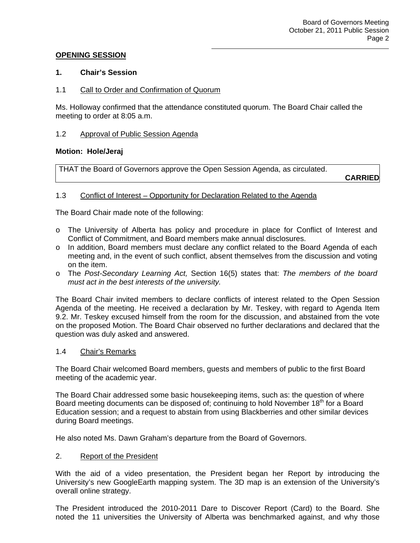## **OPENING SESSION**

## **1. Chair's Session**

## 1.1 Call to Order and Confirmation of Quorum

Ms. Holloway confirmed that the attendance constituted quorum. The Board Chair called the meeting to order at 8:05 a.m.

### 1.2 Approval of Public Session Agenda

#### **Motion: Hole/Jeraj**

THAT the Board of Governors approve the Open Session Agenda, as circulated.

**CARRIED**

## 1.3 Conflict of Interest – Opportunity for Declaration Related to the Agenda

The Board Chair made note of the following:

- o The University of Alberta has policy and procedure in place for Conflict of Interest and Conflict of Commitment, and Board members make annual disclosures.
- o In addition, Board members must declare any conflict related to the Board Agenda of each meeting and, in the event of such conflict, absent themselves from the discussion and voting on the item.
- o The *Post-Secondary Learning Act,* Section 16(5) states that: *The members of the board must act in the best interests of the university.*

The Board Chair invited members to declare conflicts of interest related to the Open Session Agenda of the meeting. He received a declaration by Mr. Teskey, with regard to Agenda Item 9.2. Mr. Teskey excused himself from the room for the discussion, and abstained from the vote on the proposed Motion. The Board Chair observed no further declarations and declared that the question was duly asked and answered.

#### 1.4 Chair's Remarks

The Board Chair welcomed Board members, guests and members of public to the first Board meeting of the academic year.

The Board Chair addressed some basic housekeeping items, such as: the question of where Board meeting documents can be disposed of; continuing to hold November 18<sup>th</sup> for a Board Education session; and a request to abstain from using Blackberries and other similar devices during Board meetings.

He also noted Ms. Dawn Graham's departure from the Board of Governors.

#### 2. Report of the President

With the aid of a video presentation, the President began her Report by introducing the University's new GoogleEarth mapping system. The 3D map is an extension of the University's overall online strategy.

The President introduced the 2010-2011 Dare to Discover Report (Card) to the Board. She noted the 11 universities the University of Alberta was benchmarked against, and why those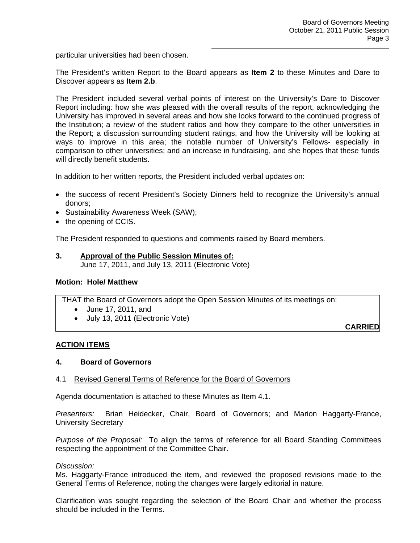particular universities had been chosen.

The President's written Report to the Board appears as **Item 2** to these Minutes and Dare to Discover appears as **Item 2.b**.

The President included several verbal points of interest on the University's Dare to Discover Report including: how she was pleased with the overall results of the report, acknowledging the University has improved in several areas and how she looks forward to the continued progress of the Institution; a review of the student ratios and how they compare to the other universities in the Report; a discussion surrounding student ratings, and how the University will be looking at ways to improve in this area; the notable number of University's Fellows- especially in comparison to other universities; and an increase in fundraising, and she hopes that these funds will directly benefit students.

In addition to her written reports, the President included verbal updates on:

- the success of recent President's Society Dinners held to recognize the University's annual donors;
- Sustainability Awareness Week (SAW);
- the opening of CCIS.

The President responded to questions and comments raised by Board members.

**3. Approval of the Public Session Minutes of:**  June 17, 2011, and July 13, 2011 (Electronic Vote)

#### **Motion: Hole/ Matthew**

THAT the Board of Governors adopt the Open Session Minutes of its meetings on:

- June 17, 2011, and
- July 13, 2011 (Electronic Vote)

**CARRIED**

# **ACTION ITEMS**

# **4. Board of Governors**

# 4.1 Revised General Terms of Reference for the Board of Governors

Agenda documentation is attached to these Minutes as Item 4.1.

*Presenters:* Brian Heidecker, Chair, Board of Governors; and Marion Haggarty-France, University Secretary

*Purpose of the Proposal:* To align the terms of reference for all Board Standing Committees respecting the appointment of the Committee Chair.

#### *Discussion:*

Ms. Haggarty-France introduced the item, and reviewed the proposed revisions made to the General Terms of Reference, noting the changes were largely editorial in nature.

Clarification was sought regarding the selection of the Board Chair and whether the process should be included in the Terms.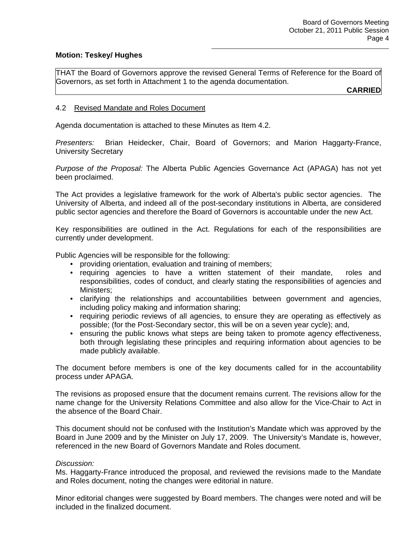## **Motion: Teskey/ Hughes**

THAT the Board of Governors approve the revised General Terms of Reference for the Board of Governors, as set forth in Attachment 1 to the agenda documentation.

**CARRIED**

## 4.2 Revised Mandate and Roles Document

Agenda documentation is attached to these Minutes as Item 4.2.

*Presenters:* Brian Heidecker, Chair, Board of Governors; and Marion Haggarty-France, University Secretary

*Purpose of the Proposal:* The Alberta Public Agencies Governance Act (APAGA) has not yet been proclaimed.

The Act provides a legislative framework for the work of Alberta's public sector agencies. The University of Alberta, and indeed all of the post-secondary institutions in Alberta, are considered public sector agencies and therefore the Board of Governors is accountable under the new Act.

Key responsibilities are outlined in the Act. Regulations for each of the responsibilities are currently under development.

Public Agencies will be responsible for the following:

- providing orientation, evaluation and training of members;
- requiring agencies to have a written statement of their mandate, roles and responsibilities, codes of conduct, and clearly stating the responsibilities of agencies and Ministers;
- clarifying the relationships and accountabilities between government and agencies, including policy making and information sharing;
- requiring periodic reviews of all agencies, to ensure they are operating as effectively as possible; (for the Post-Secondary sector, this will be on a seven year cycle); and,
- ensuring the public knows what steps are being taken to promote agency effectiveness, both through legislating these principles and requiring information about agencies to be made publicly available.

The document before members is one of the key documents called for in the accountability process under APAGA.

The revisions as proposed ensure that the document remains current. The revisions allow for the name change for the University Relations Committee and also allow for the Vice-Chair to Act in the absence of the Board Chair.

This document should not be confused with the Institution's Mandate which was approved by the Board in June 2009 and by the Minister on July 17, 2009. The University's Mandate is, however, referenced in the new Board of Governors Mandate and Roles document.

#### *Discussion:*

Ms. Haggarty-France introduced the proposal, and reviewed the revisions made to the Mandate and Roles document, noting the changes were editorial in nature.

Minor editorial changes were suggested by Board members. The changes were noted and will be included in the finalized document.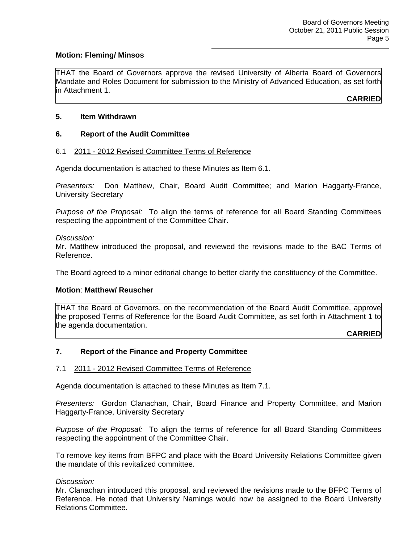## **Motion: Fleming/ Minsos**

THAT the Board of Governors approve the revised University of Alberta Board of Governors Mandate and Roles Document for submission to the Ministry of Advanced Education, as set forth in Attachment 1.

**CARRIED**

## **5. Item Withdrawn**

## **6. Report of the Audit Committee**

#### 6.1 2011 - 2012 Revised Committee Terms of Reference

Agenda documentation is attached to these Minutes as Item 6.1.

*Presenters:* Don Matthew, Chair, Board Audit Committee; and Marion Haggarty-France, University Secretary

*Purpose of the Proposal:* To align the terms of reference for all Board Standing Committees respecting the appointment of the Committee Chair.

*Discussion:* 

Mr. Matthew introduced the proposal, and reviewed the revisions made to the BAC Terms of Reference.

The Board agreed to a minor editorial change to better clarify the constituency of the Committee.

#### **Motion**: **Matthew/ Reuscher**

THAT the Board of Governors, on the recommendation of the Board Audit Committee, approve the proposed Terms of Reference for the Board Audit Committee, as set forth in Attachment 1 to the agenda documentation.

**CARRIED**

#### **7. Report of the Finance and Property Committee**

#### 7.1 2011 - 2012 Revised Committee Terms of Reference

Agenda documentation is attached to these Minutes as Item 7.1.

*Presenters:* Gordon Clanachan, Chair, Board Finance and Property Committee, and Marion Haggarty-France, University Secretary

*Purpose of the Proposal:* To align the terms of reference for all Board Standing Committees respecting the appointment of the Committee Chair.

To remove key items from BFPC and place with the Board University Relations Committee given the mandate of this revitalized committee.

#### *Discussion:*

Mr. Clanachan introduced this proposal, and reviewed the revisions made to the BFPC Terms of Reference. He noted that University Namings would now be assigned to the Board University Relations Committee.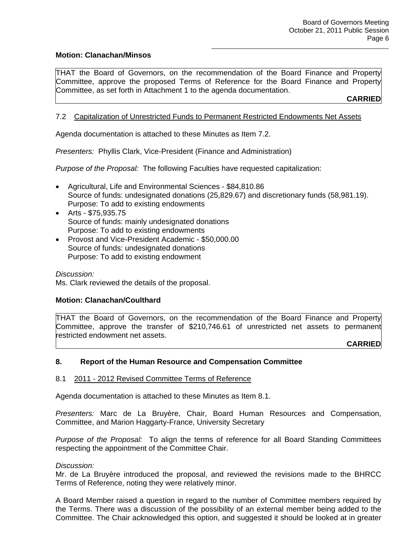## **Motion: Clanachan/Minsos**

THAT the Board of Governors, on the recommendation of the Board Finance and Property Committee, approve the proposed Terms of Reference for the Board Finance and Property Committee, as set forth in Attachment 1 to the agenda documentation.

**CARRIED**

## 7.2 Capitalization of Unrestricted Funds to Permanent Restricted Endowments Net Assets

Agenda documentation is attached to these Minutes as Item 7.2.

*Presenters:* Phyllis Clark, Vice-President (Finance and Administration)

*Purpose of the Proposal:* The following Faculties have requested capitalization:

- Agricultural, Life and Environmental Sciences \$84,810.86 Source of funds: undesignated donations (25,829.67) and discretionary funds (58,981.19). Purpose: To add to existing endowments
- Arts \$75,935.75 Source of funds: mainly undesignated donations Purpose: To add to existing endowments
- Provost and Vice-President Academic \$50,000.00 Source of funds: undesignated donations Purpose: To add to existing endowment

*Discussion:*  Ms. Clark reviewed the details of the proposal.

#### **Motion: Clanachan/Coulthard**

THAT the Board of Governors, on the recommendation of the Board Finance and Property Committee, approve the transfer of \$210,746.61 of unrestricted net assets to permanent restricted endowment net assets.

**CARRIED**

# **8. Report of the Human Resource and Compensation Committee**

#### 8.1 2011 - 2012 Revised Committee Terms of Reference

Agenda documentation is attached to these Minutes as Item 8.1.

*Presenters:* Marc de La Bruyère, Chair, Board Human Resources and Compensation, Committee, and Marion Haggarty-France, University Secretary

*Purpose of the Proposal:* To align the terms of reference for all Board Standing Committees respecting the appointment of the Committee Chair.

#### *Discussion:*

Mr. de La Bruyère introduced the proposal, and reviewed the revisions made to the BHRCC Terms of Reference, noting they were relatively minor.

A Board Member raised a question in regard to the number of Committee members required by the Terms. There was a discussion of the possibility of an external member being added to the Committee. The Chair acknowledged this option, and suggested it should be looked at in greater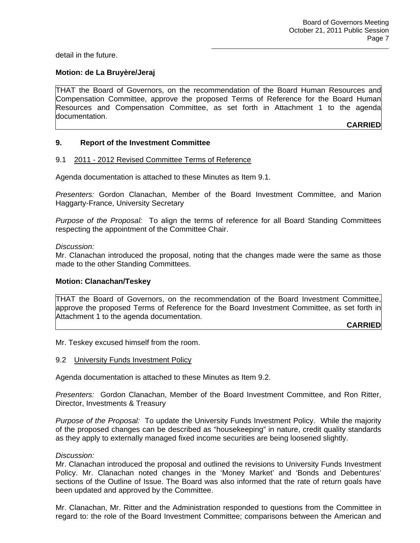detail in the future.

## **Motion: de La Bruyère/Jeraj**

THAT the Board of Governors, on the recommendation of the Board Human Resources and Compensation Committee, approve the proposed Terms of Reference for the Board Human Resources and Compensation Committee, as set forth in Attachment 1 to the agenda documentation.

**CARRIED**

#### **9. Report of the Investment Committee**

#### 9.1 2011 - 2012 Revised Committee Terms of Reference

Agenda documentation is attached to these Minutes as Item 9.1.

*Presenters:* Gordon Clanachan, Member of the Board Investment Committee, and Marion Haggarty-France, University Secretary

*Purpose of the Proposal:* To align the terms of reference for all Board Standing Committees respecting the appointment of the Committee Chair.

#### *Discussion:*

Mr. Clanachan introduced the proposal, noting that the changes made were the same as those made to the other Standing Committees.

#### **Motion: Clanachan/Teskey**

THAT the Board of Governors, on the recommendation of the Board Investment Committee, approve the proposed Terms of Reference for the Board Investment Committee, as set forth in Attachment 1 to the agenda documentation.

**CARRIED**

Mr. Teskey excused himself from the room.

9.2 University Funds Investment Policy

Agenda documentation is attached to these Minutes as Item 9.2.

*Presenters:* Gordon Clanachan, Member of the Board Investment Committee, and Ron Ritter, Director, Investments & Treasury

*Purpose of the Proposal:* To update the University Funds Investment Policy. While the majority of the proposed changes can be described as "housekeeping" in nature, credit quality standards as they apply to externally managed fixed income securities are being loosened slightly.

#### *Discussion:*

Mr. Clanachan introduced the proposal and outlined the revisions to University Funds Investment Policy. Mr. Clanachan noted changes in the 'Money Market' and 'Bonds and Debentures' sections of the Outline of Issue. The Board was also informed that the rate of return goals have been updated and approved by the Committee.

Mr. Clanachan, Mr. Ritter and the Administration responded to questions from the Committee in regard to: the role of the Board Investment Committee; comparisons between the American and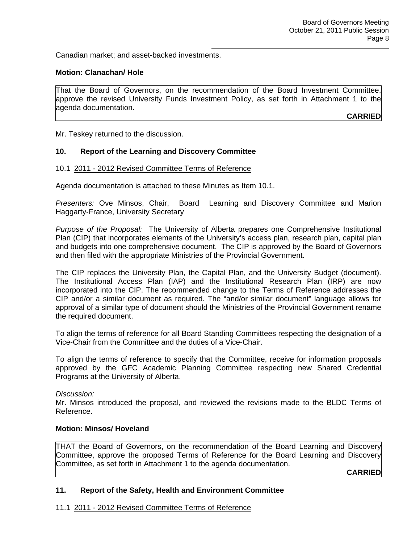Canadian market; and asset-backed investments.

## **Motion: Clanachan/ Hole**

That the Board of Governors, on the recommendation of the Board Investment Committee, approve the revised University Funds Investment Policy, as set forth in Attachment 1 to the agenda documentation.

**CARRIED**

Mr. Teskey returned to the discussion.

#### **10. Report of the Learning and Discovery Committee**

#### 10.1 2011 - 2012 Revised Committee Terms of Reference

Agenda documentation is attached to these Minutes as Item 10.1.

*Presenters:* Ove Minsos, Chair, Board Learning and Discovery Committee and Marion Haggarty-France, University Secretary

*Purpose of the Proposal:* The University of Alberta prepares one Comprehensive Institutional Plan (CIP) that incorporates elements of the University's access plan, research plan, capital plan and budgets into one comprehensive document. The CIP is approved by the Board of Governors and then filed with the appropriate Ministries of the Provincial Government.

The CIP replaces the University Plan, the Capital Plan, and the University Budget (document). The Institutional Access Plan (IAP) and the Institutional Research Plan (IRP) are now incorporated into the CIP. The recommended change to the Terms of Reference addresses the CIP and/or a similar document as required. The "and/or similar document" language allows for approval of a similar type of document should the Ministries of the Provincial Government rename the required document.

To align the terms of reference for all Board Standing Committees respecting the designation of a Vice-Chair from the Committee and the duties of a Vice-Chair.

To align the terms of reference to specify that the Committee, receive for information proposals approved by the GFC Academic Planning Committee respecting new Shared Credential Programs at the University of Alberta.

#### *Discussion:*

Mr. Minsos introduced the proposal, and reviewed the revisions made to the BLDC Terms of Reference.

### **Motion: Minsos/ Hoveland**

THAT the Board of Governors, on the recommendation of the Board Learning and Discovery Committee, approve the proposed Terms of Reference for the Board Learning and Discovery Committee, as set forth in Attachment 1 to the agenda documentation.

**CARRIED**

### **11. Report of the Safety, Health and Environment Committee**

11.1 2011 - 2012 Revised Committee Terms of Reference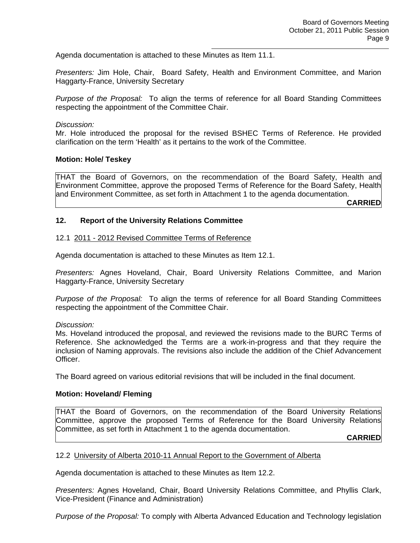Agenda documentation is attached to these Minutes as Item 11.1.

*Presenters:* Jim Hole, Chair, Board Safety, Health and Environment Committee, and Marion Haggarty-France, University Secretary

*Purpose of the Proposal:* To align the terms of reference for all Board Standing Committees respecting the appointment of the Committee Chair.

*Discussion:* 

Mr. Hole introduced the proposal for the revised BSHEC Terms of Reference. He provided clarification on the term 'Health' as it pertains to the work of the Committee.

#### **Motion: Hole/ Teskey**

THAT the Board of Governors, on the recommendation of the Board Safety, Health and Environment Committee, approve the proposed Terms of Reference for the Board Safety, Health and Environment Committee, as set forth in Attachment 1 to the agenda documentation.

**CARRIED**

## **12. Report of the University Relations Committee**

#### 12.1 2011 - 2012 Revised Committee Terms of Reference

Agenda documentation is attached to these Minutes as Item 12.1.

*Presenters:* Agnes Hoveland, Chair, Board University Relations Committee, and Marion Haggarty-France, University Secretary

*Purpose of the Proposal:* To align the terms of reference for all Board Standing Committees respecting the appointment of the Committee Chair.

*Discussion:* 

Ms. Hoveland introduced the proposal, and reviewed the revisions made to the BURC Terms of Reference. She acknowledged the Terms are a work-in-progress and that they require the inclusion of Naming approvals. The revisions also include the addition of the Chief Advancement Officer.

The Board agreed on various editorial revisions that will be included in the final document.

#### **Motion: Hoveland/ Fleming**

THAT the Board of Governors, on the recommendation of the Board University Relations Committee, approve the proposed Terms of Reference for the Board University Relations Committee, as set forth in Attachment 1 to the agenda documentation.

**CARRIED**

#### 12.2 University of Alberta 2010-11 Annual Report to the Government of Alberta

Agenda documentation is attached to these Minutes as Item 12.2.

*Presenters:* Agnes Hoveland, Chair, Board University Relations Committee, and Phyllis Clark, Vice-President (Finance and Administration)

*Purpose of the Proposal:* To comply with Alberta Advanced Education and Technology legislation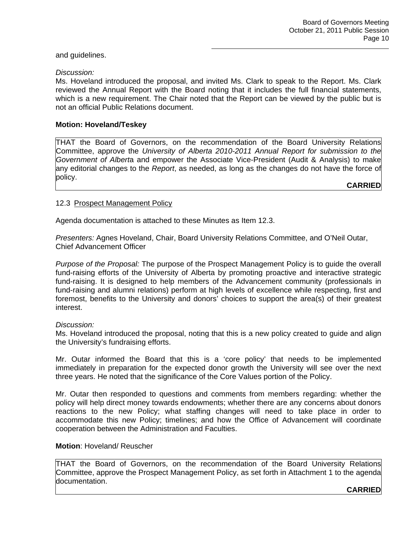## and guidelines.

## *Discussion:*

Ms. Hoveland introduced the proposal, and invited Ms. Clark to speak to the Report. Ms. Clark reviewed the Annual Report with the Board noting that it includes the full financial statements, which is a new requirement. The Chair noted that the Report can be viewed by the public but is not an official Public Relations document.

## **Motion: Hoveland/Teskey**

THAT the Board of Governors, on the recommendation of the Board University Relations Committee, approve the *University of Alberta 2010-2011 Annual Report for submission to the Government of Albert*a and empower the Associate Vice-President (Audit & Analysis) to make any editorial changes to the *Report*, as needed, as long as the changes do not have the force of policy.

**CARRIED**

## 12.3 Prospect Management Policy

Agenda documentation is attached to these Minutes as Item 12.3.

*Presenters:* Agnes Hoveland, Chair, Board University Relations Committee, and O'Neil Outar, Chief Advancement Officer

*Purpose of the Proposal:* The purpose of the Prospect Management Policy is to guide the overall fund-raising efforts of the University of Alberta by promoting proactive and interactive strategic fund-raising. It is designed to help members of the Advancement community (professionals in fund-raising and alumni relations) perform at high levels of excellence while respecting, first and foremost, benefits to the University and donors' choices to support the area(s) of their greatest interest.

#### *Discussion:*

Ms. Hoveland introduced the proposal, noting that this is a new policy created to guide and align the University's fundraising efforts.

Mr. Outar informed the Board that this is a 'core policy' that needs to be implemented immediately in preparation for the expected donor growth the University will see over the next three years. He noted that the significance of the Core Values portion of the Policy.

Mr. Outar then responded to questions and comments from members regarding: whether the policy will help direct money towards endowments; whether there are any concerns about donors reactions to the new Policy; what staffing changes will need to take place in order to accommodate this new Policy; timelines; and how the Office of Advancement will coordinate cooperation between the Administration and Faculties.

### **Motion**: Hoveland/ Reuscher

THAT the Board of Governors, on the recommendation of the Board University Relations Committee, approve the Prospect Management Policy, as set forth in Attachment 1 to the agenda documentation.

**CARRIED**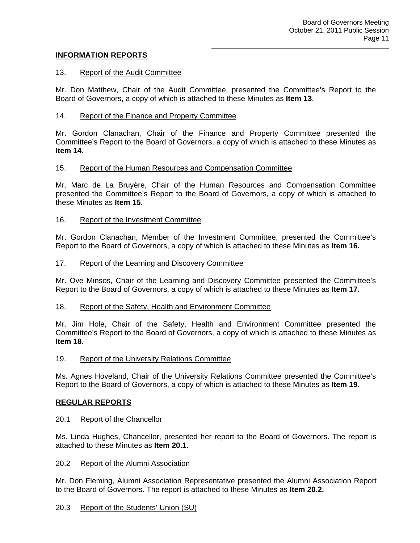## **INFORMATION REPORTS**

## 13. Report of the Audit Committee

Mr. Don Matthew, Chair of the Audit Committee, presented the Committee's Report to the Board of Governors, a copy of which is attached to these Minutes as **Item 13**.

## 14. Report of the Finance and Property Committee

Mr. Gordon Clanachan, Chair of the Finance and Property Committee presented the Committee's Report to the Board of Governors, a copy of which is attached to these Minutes as **Item 14**.

#### 15. Report of the Human Resources and Compensation Committee

Mr. Marc de La Bruyère, Chair of the Human Resources and Compensation Committee presented the Committee's Report to the Board of Governors, a copy of which is attached to these Minutes as **Item 15.**

## 16. Report of the Investment Committee

Mr. Gordon Clanachan, Member of the Investment Committee, presented the Committee's Report to the Board of Governors, a copy of which is attached to these Minutes as **Item 16.**

#### 17. Report of the Learning and Discovery Committee

Mr. Ove Minsos, Chair of the Learning and Discovery Committee presented the Committee's Report to the Board of Governors, a copy of which is attached to these Minutes as **Item 17.**

#### 18. Report of the Safety, Health and Environment Committee

Mr. Jim Hole, Chair of the Safety, Health and Environment Committee presented the Committee's Report to the Board of Governors, a copy of which is attached to these Minutes as **Item 18.**

#### 19. Report of the University Relations Committee

Ms. Agnes Hoveland, Chair of the University Relations Committee presented the Committee's Report to the Board of Governors, a copy of which is attached to these Minutes as **Item 19.**

#### **REGULAR REPORTS**

#### 20.1 Report of the Chancellor

Ms. Linda Hughes, Chancellor, presented her report to the Board of Governors. The report is attached to these Minutes as **Item 20.1**.

### 20.2 Report of the Alumni Association

Mr. Don Fleming, Alumni Association Representative presented the Alumni Association Report to the Board of Governors. The report is attached to these Minutes as **Item 20.2.**

# 20.3 Report of the Students' Union (SU)